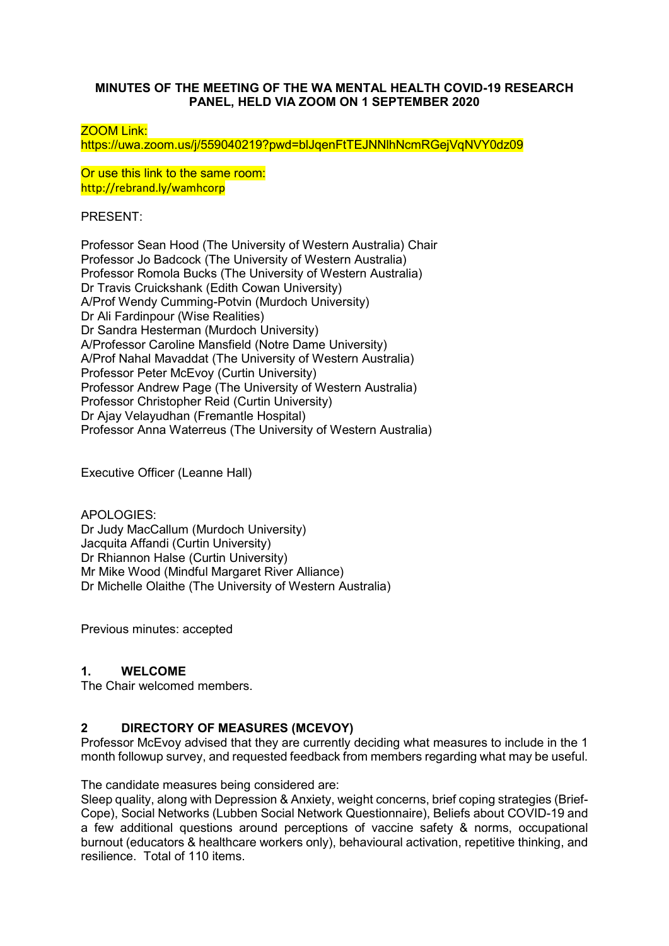## **MINUTES OF THE MEETING OF THE WA MENTAL HEALTH COVID-19 RESEARCH PANEL, HELD VIA ZOOM ON 1 SEPTEMBER 2020**

### ZOOM Link:

https://uwa.zoom.us/j/559040219?pwd=blJqenFtTEJNNlhNcmRGejVqNVY0dz09

Or use this link to the same room: http://rebrand.ly/wamhcorp

PRESENT:

Professor Sean Hood (The University of Western Australia) Chair Professor Jo Badcock (The University of Western Australia) Professor Romola Bucks (The University of Western Australia) Dr Travis Cruickshank (Edith Cowan University) A/Prof Wendy Cumming-Potvin (Murdoch University) Dr Ali Fardinpour (Wise Realities) Dr Sandra Hesterman (Murdoch University) A/Professor Caroline Mansfield (Notre Dame University) A/Prof Nahal Mavaddat (The University of Western Australia) Professor Peter McEvoy (Curtin University) Professor Andrew Page (The University of Western Australia) Professor Christopher Reid (Curtin University) Dr Ajay Velayudhan (Fremantle Hospital) Professor Anna Waterreus (The University of Western Australia)

Executive Officer (Leanne Hall)

APOLOGIES: Dr Judy MacCallum (Murdoch University) Jacquita Affandi (Curtin University) Dr Rhiannon Halse (Curtin University) Mr Mike Wood (Mindful Margaret River Alliance) Dr Michelle Olaithe (The University of Western Australia)

Previous minutes: accepted

# **1. WELCOME**

The Chair welcomed members.

## **2 DIRECTORY OF MEASURES (MCEVOY)**

Professor McEvoy advised that they are currently deciding what measures to include in the 1 month followup survey, and requested feedback from members regarding what may be useful.

The candidate measures being considered are:

Sleep quality, along with Depression & Anxiety, weight concerns, brief coping strategies (Brief-Cope), Social Networks (Lubben Social Network Questionnaire), Beliefs about COVID-19 and a few additional questions around perceptions of vaccine safety & norms, occupational burnout (educators & healthcare workers only), behavioural activation, repetitive thinking, and resilience. Total of 110 items.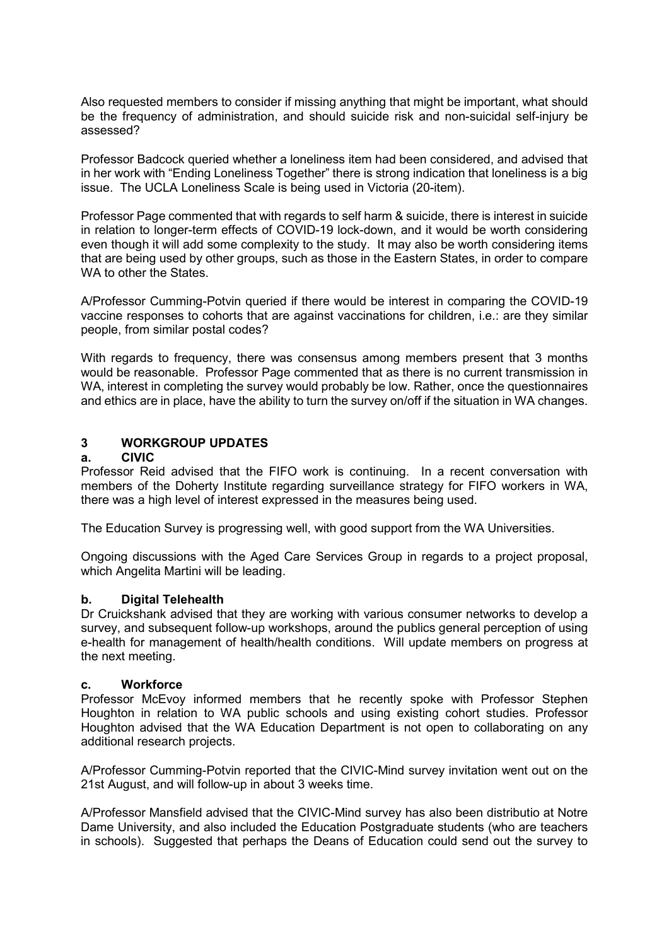Also requested members to consider if missing anything that might be important, what should be the frequency of administration, and should suicide risk and non-suicidal self-injury be assessed?

Professor Badcock queried whether a loneliness item had been considered, and advised that in her work with "Ending Loneliness Together" there is strong indication that loneliness is a big issue. The UCLA Loneliness Scale is being used in Victoria (20-item).

Professor Page commented that with regards to self harm & suicide, there is interest in suicide in relation to longer-term effects of COVID-19 lock-down, and it would be worth considering even though it will add some complexity to the study. It may also be worth considering items that are being used by other groups, such as those in the Eastern States, in order to compare WA to other the States.

A/Professor Cumming-Potvin queried if there would be interest in comparing the COVID-19 vaccine responses to cohorts that are against vaccinations for children, i.e.: are they similar people, from similar postal codes?

With regards to frequency, there was consensus among members present that 3 months would be reasonable. Professor Page commented that as there is no current transmission in WA, interest in completing the survey would probably be low. Rather, once the questionnaires and ethics are in place, have the ability to turn the survey on/off if the situation in WA changes.

# **3 WORKGROUP UPDATES**

### **a. CIVIC**

Professor Reid advised that the FIFO work is continuing. In a recent conversation with members of the Doherty Institute regarding surveillance strategy for FIFO workers in WA, there was a high level of interest expressed in the measures being used.

The Education Survey is progressing well, with good support from the WA Universities.

Ongoing discussions with the Aged Care Services Group in regards to a project proposal, which Angelita Martini will be leading.

#### **b. Digital Telehealth**

Dr Cruickshank advised that they are working with various consumer networks to develop a survey, and subsequent follow-up workshops, around the publics general perception of using e-health for management of health/health conditions. Will update members on progress at the next meeting.

#### **c. Workforce**

Professor McEvoy informed members that he recently spoke with Professor Stephen Houghton in relation to WA public schools and using existing cohort studies. Professor Houghton advised that the WA Education Department is not open to collaborating on any additional research projects.

A/Professor Cumming-Potvin reported that the CIVIC-Mind survey invitation went out on the 21st August, and will follow-up in about 3 weeks time.

A/Professor Mansfield advised that the CIVIC-Mind survey has also been distributio at Notre Dame University, and also included the Education Postgraduate students (who are teachers in schools). Suggested that perhaps the Deans of Education could send out the survey to